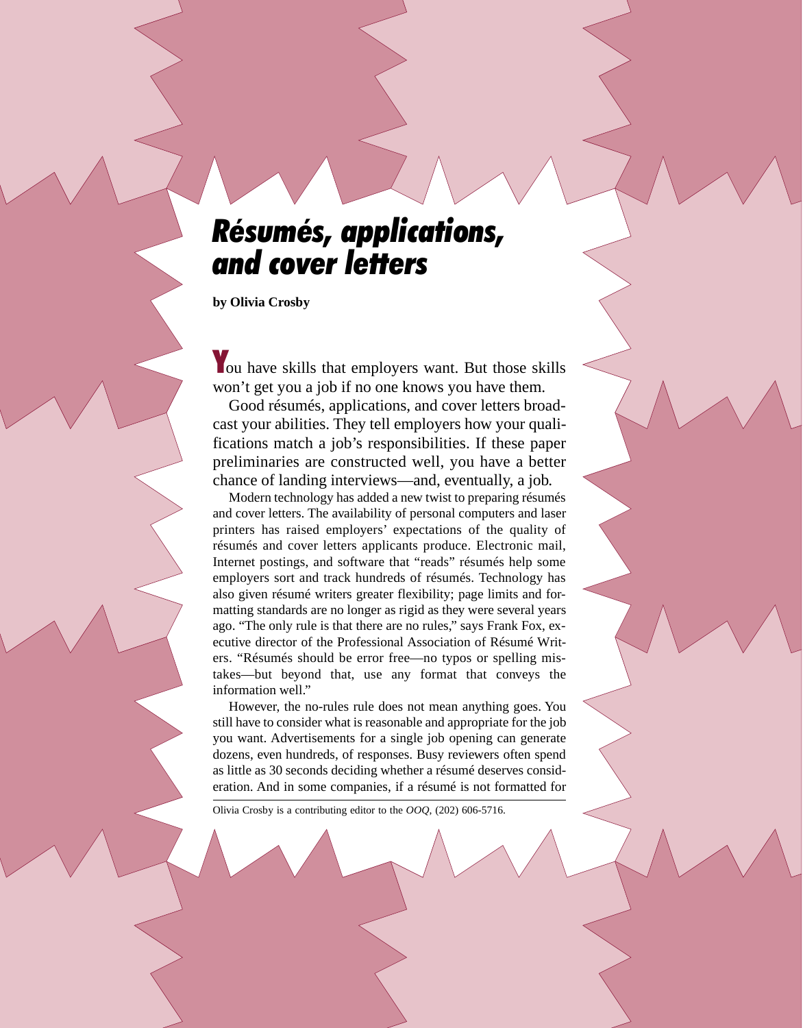# *Résumés, applications, and cover letters*

**by Olivia Crosby**

You have skills that employers want. But those skills won't get you a job if no one knows you have them.

Good résumés, applications, and cover letters broadcast your abilities. They tell employers how your qualifications match a job's responsibilities. If these paper preliminaries are constructed well, you have a better chance of landing interviews—and, eventually, a job.

Modern technology has added a new twist to preparing résumés and cover letters. The availability of personal computers and laser printers has raised employers' expectations of the quality of résumés and cover letters applicants produce. Electronic mail, Internet postings, and software that "reads" résumés help some employers sort and track hundreds of résumés. Technology has also given résumé writers greater flexibility; page limits and formatting standards are no longer as rigid as they were several years ago. "The only rule is that there are no rules," says Frank Fox, executive director of the Professional Association of Résumé Writers. "Résumés should be error free—no typos or spelling mistakes—but beyond that, use any format that conveys the information well."

However, the no-rules rule does not mean anything goes. You still have to consider what is reasonable and appropriate for the job you want. Advertisements for a single job opening can generate dozens, even hundreds, of responses. Busy reviewers often spend as little as 30 seconds deciding whether a résumé deserves consideration. And in some companies, if a résumé is not formatted for

Olivia Crosby is a contributing editor to the *OOQ*, (202) 606-5716.

2 Occupational Outlook Quarterly ● Summer 1999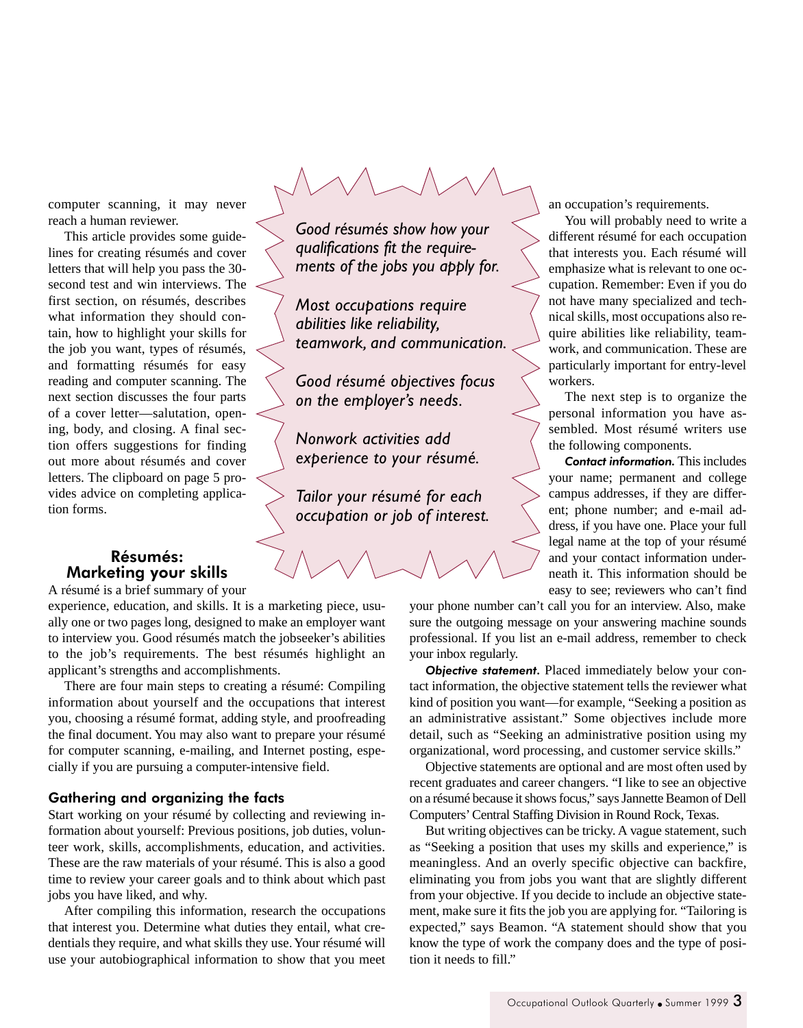computer scanning, it may never reach a human reviewer.

This article provides some guidelines for creating résumés and cover letters that will help you pass the 30 second test and win interviews. The first section, on résumés, describes what information they should contain, how to highlight your skills for the job you want, types of résumés, and formatting résumés for easy reading and computer scanning. The next section discusses the four parts of a cover letter—salutation, opening, body, and closing. A final section offers suggestions for finding out more about résumés and cover letters. The clipboard on page 5 provides advice on completing application forms.

### Résumés: Marketing your skills

A résumé is a brief summary of your experience, education, and skills. It is a marketing piece, usually one or two pages long, designed to make an employer want to interview you. Good résumés match the jobseeker's abilities to the job's requirements. The best résumés highlight an applicant's strengths and accomplishments.

There are four main steps to creating a résumé: Compiling information about yourself and the occupations that interest you, choosing a résumé format, adding style, and proofreading the final document. You may also want to prepare your résumé for computer scanning, e-mailing, and Internet posting, especially if you are pursuing a computer-intensive field.

#### Gathering and organizing the facts

Start working on your résumé by collecting and reviewing information about yourself: Previous positions, job duties, volunteer work, skills, accomplishments, education, and activities. These are the raw materials of your résumé. This is also a good time to review your career goals and to think about which past jobs you have liked, and why.

After compiling this information, research the occupations that interest you. Determine what duties they entail, what credentials they require, and what skills they use. Your résumé will use your autobiographical information to show that you meet

*Good résumés show how your qualifications fit the requirements of the jobs you apply for.*

*Most occupations require abilities like reliability, teamwork, and communication.*

*Good résumé objectives focus on the employer's needs.*

*Nonwork activities add experience to your résumé.*

*Tailor your résumé for each occupation or job of interest.* an occupation's requirements.

You will probably need to write a different résumé for each occupation that interests you. Each résumé will emphasize what is relevant to one occupation. Remember: Even if you do not have many specialized and technical skills, most occupations also require abilities like reliability, teamwork, and communication. These are particularly important for entry-level workers.

The next step is to organize the personal information you have assembled. Most résumé writers use the following components.

*Contact information.* This includes your name; permanent and college campus addresses, if they are different; phone number; and e-mail address, if you have one. Place your full legal name at the top of your résumé and your contact information underneath it. This information should be easy to see; reviewers who can't find

your phone number can't call you for an interview. Also, make sure the outgoing message on your answering machine sounds professional. If you list an e-mail address, remember to check your inbox regularly.

*Objective statement.* Placed immediately below your contact information, the objective statement tells the reviewer what kind of position you want—for example, "Seeking a position as an administrative assistant." Some objectives include more detail, such as "Seeking an administrative position using my organizational, word processing, and customer service skills."

Objective statements are optional and are most often used by recent graduates and career changers. "I like to see an objective on a résumé because it shows focus," says Jannette Beamon of Dell Computers' Central Staffing Division in Round Rock, Texas.

But writing objectives can be tricky. A vague statement, such as "Seeking a position that uses my skills and experience," is meaningless. And an overly specific objective can backfire, eliminating you from jobs you want that are slightly different from your objective. If you decide to include an objective statement, make sure it fits the job you are applying for. "Tailoring is expected," says Beamon. "A statement should show that you know the type of work the company does and the type of position it needs to fill."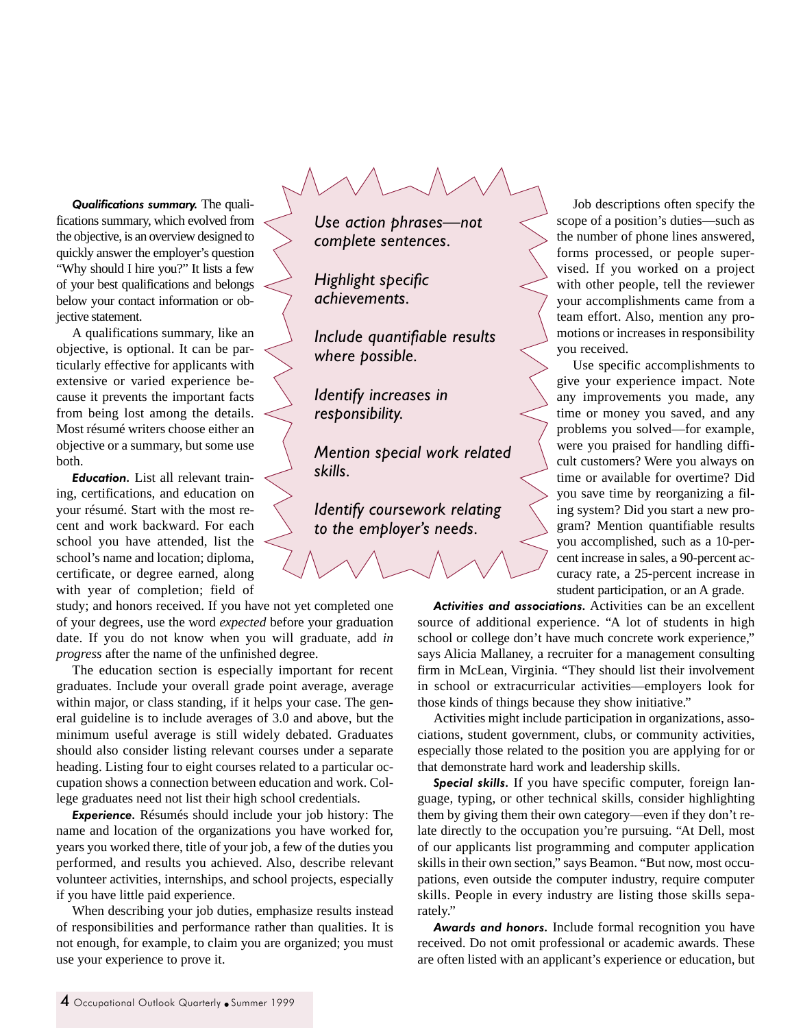*Qualifications summary.* The qualifications summary, which evolved from the objective, is an overview designed to quickly answer the employer's question "Why should I hire you?" It lists a few of your best qualifications and belongs below your contact information or objective statement.

A qualifications summary, like an objective, is optional. It can be particularly effective for applicants with extensive or varied experience because it prevents the important facts from being lost among the details. Most résumé writers choose either an objective or a summary, but some use both.

*Education.* List all relevant training, certifications, and education on your résumé. Start with the most recent and work backward. For each school you have attended, list the school's name and location; diploma, certificate, or degree earned, along with year of completion; field of

study; and honors received. If you have not yet completed one of your degrees, use the word *expected* before your graduation date. If you do not know when you will graduate, add *in progress* after the name of the unfinished degree.

The education section is especially important for recent graduates. Include your overall grade point average, average within major, or class standing, if it helps your case. The general guideline is to include averages of 3.0 and above, but the minimum useful average is still widely debated. Graduates should also consider listing relevant courses under a separate heading. Listing four to eight courses related to a particular occupation shows a connection between education and work. College graduates need not list their high school credentials.

*Experience.* Résumés should include your job history: The name and location of the organizations you have worked for, years you worked there, title of your job, a few of the duties you performed, and results you achieved. Also, describe relevant volunteer activities, internships, and school projects, especially if you have little paid experience.

When describing your job duties, emphasize results instead of responsibilities and performance rather than qualities. It is not enough, for example, to claim you are organized; you must use your experience to prove it.

*Use action phrases—not complete sentences.*

*Highlight specific achievements.*

*Include quantifiable results where possible.*

*Identify increases in responsibility.*

*Mention special work related skills.*

*Identify coursework relating to the employer's needs.*

Job descriptions often specify the scope of a position's duties—such as the number of phone lines answered, forms processed, or people supervised. If you worked on a project with other people, tell the reviewer your accomplishments came from a team effort. Also, mention any promotions or increases in responsibility you received.

Use specific accomplishments to give your experience impact. Note any improvements you made, any time or money you saved, and any problems you solved—for example, were you praised for handling difficult customers? Were you always on time or available for overtime? Did you save time by reorganizing a filing system? Did you start a new program? Mention quantifiable results you accomplished, such as a 10-percent increase in sales, a 90-percent accuracy rate, a 25-percent increase in student participation, or an A grade.

*Activities and associations.* Activities can be an excellent source of additional experience. "A lot of students in high school or college don't have much concrete work experience," says Alicia Mallaney, a recruiter for a management consulting firm in McLean, Virginia. "They should list their involvement in school or extracurricular activities—employers look for those kinds of things because they show initiative."

Activities might include participation in organizations, associations, student government, clubs, or community activities, especially those related to the position you are applying for or that demonstrate hard work and leadership skills.

*Special skills.* If you have specific computer, foreign language, typing, or other technical skills, consider highlighting them by giving them their own category—even if they don't relate directly to the occupation you're pursuing. "At Dell, most of our applicants list programming and computer application skills in their own section," says Beamon. "But now, most occupations, even outside the computer industry, require computer skills. People in every industry are listing those skills separately."

*Awards and honors.* Include formal recognition you have received. Do not omit professional or academic awards. These are often listed with an applicant's experience or education, but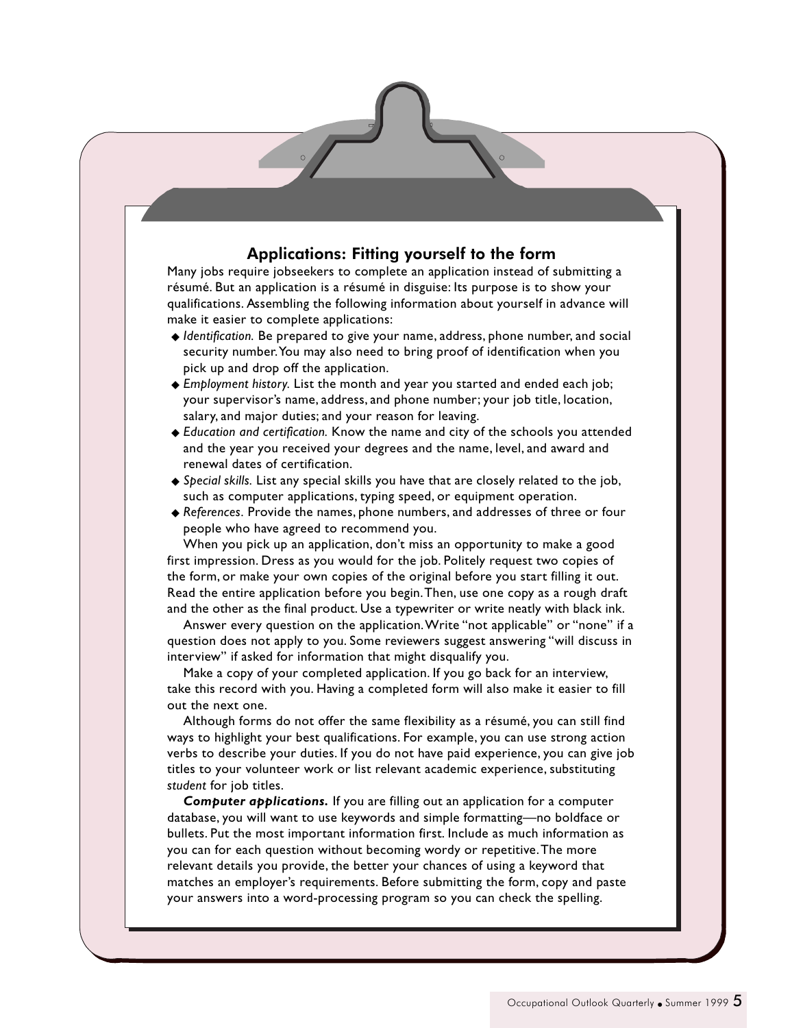## Applications: Fitting yourself to the form

Many jobs require jobseekers to complete an application instead of submitting a résumé. But an application is a résumé in disguise: Its purpose is to show your qualifications. Assembling the following information about yourself in advance will make it easier to complete applications:

- ◆ *Identification*. Be prepared to give your name, address, phone number, and social security number. You may also need to bring proof of identification when you pick up and drop off the application.
- ◆ *Employment history.* List the month and year you started and ended each job; your supervisor's name, address, and phone number; your job title, location, salary, and major duties; and your reason for leaving.
- ◆ *Education and certification.* Know the name and city of the schools you attended and the year you received your degrees and the name, level, and award and renewal dates of certification.
- ◆ *Special skills.* List any special skills you have that are closely related to the job, such as computer applications, typing speed, or equipment operation.
- ◆ *References.* Provide the names, phone numbers, and addresses of three or four people who have agreed to recommend you.

When you pick up an application, don't miss an opportunity to make a good first impression. Dress as you would for the job. Politely request two copies of the form, or make your own copies of the original before you start filling it out. Read the entire application before you begin. Then, use one copy as a rough draft and the other as the final product. Use a typewriter or write neatly with black ink.

Answer every question on the application. Write "not applicable" or "none" if a question does not apply to you. Some reviewers suggest answering "will discuss in interview" if asked for information that might disqualify you.

Make a copy of your completed application. If you go back for an interview, take this record with you. Having a completed form will also make it easier to fill out the next one.

Although forms do not offer the same flexibility as a résumé, you can still find ways to highlight your best qualifications. For example, you can use strong action verbs to describe your duties. If you do not have paid experience, you can give job titles to your volunteer work or list relevant academic experience, substituting *student* for job titles.

*Computer applications.* If you are filling out an application for a computer database, you will want to use keywords and simple formatting—no boldface or bullets. Put the most important information first. Include as much information as you can for each question without becoming wordy or repetitive. The more relevant details you provide, the better your chances of using a keyword that matches an employer's requirements. Before submitting the form, copy and paste your answers into a word-processing program so you can check the spelling.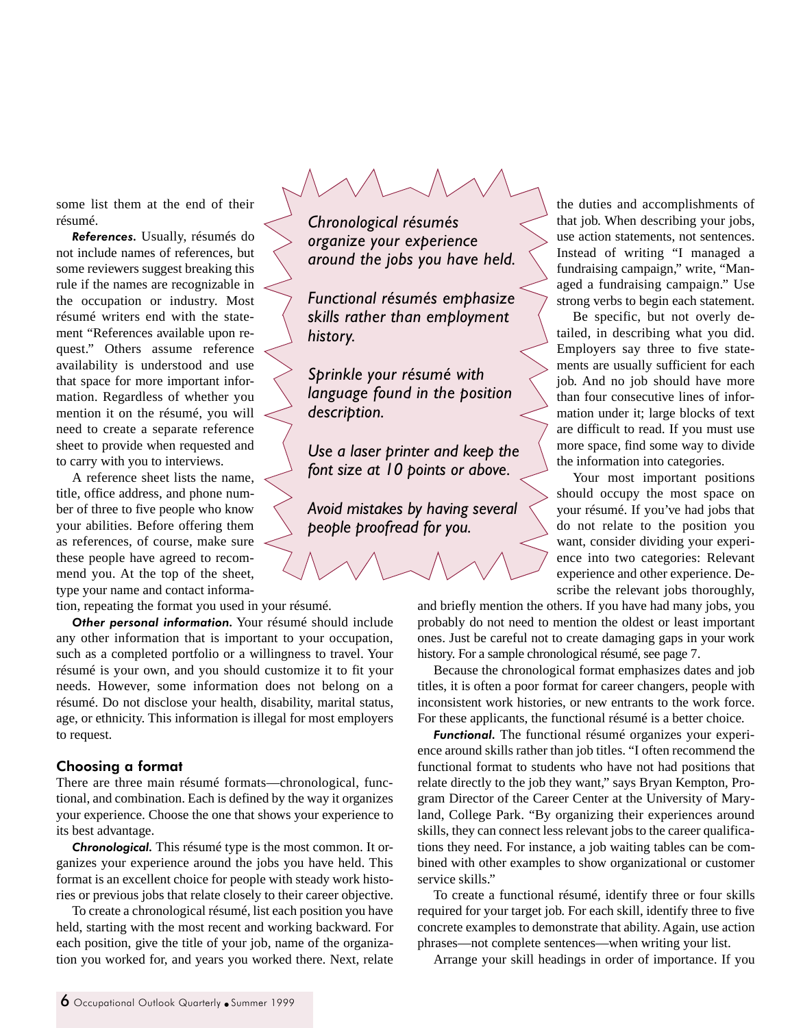some list them at the end of their résumé.

*References.* Usually, résumés do not include names of references, but some reviewers suggest breaking this rule if the names are recognizable in the occupation or industry. Most résumé writers end with the statement "References available upon request." Others assume reference availability is understood and use that space for more important information. Regardless of whether you mention it on the résumé, you will need to create a separate reference sheet to provide when requested and to carry with you to interviews.

A reference sheet lists the name, title, office address, and phone number of three to five people who know your abilities. Before offering them as references, of course, make sure these people have agreed to recommend you. At the top of the sheet, type your name and contact informa-

tion, repeating the format you used in your résumé.

*Other personal information.* Your résumé should include any other information that is important to your occupation, such as a completed portfolio or a willingness to travel. Your résumé is your own, and you should customize it to fit your needs. However, some information does not belong on a résumé. Do not disclose your health, disability, marital status, age, or ethnicity. This information is illegal for most employers to request.

#### Choosing a format

There are three main résumé formats—chronological, functional, and combination. Each is defined by the way it organizes your experience. Choose the one that shows your experience to its best advantage.

*Chronological.* This résumé type is the most common. It organizes your experience around the jobs you have held. This format is an excellent choice for people with steady work histories or previous jobs that relate closely to their career objective.

To create a chronological résumé, list each position you have held, starting with the most recent and working backward. For each position, give the title of your job, name of the organization you worked for, and years you worked there. Next, relate

*Chronological résumés organize your experience around the jobs you have held.*

*Functional résumés emphasize skills rather than employment history.*

*Sprinkle your résumé with language found in the position description.*

*Use a laser printer and keep the font size at 10 points or above.*

*Avoid mistakes by having several people proofread for you.*

the duties and accomplishments of that job. When describing your jobs, use action statements, not sentences. Instead of writing "I managed a fundraising campaign," write, "Managed a fundraising campaign." Use strong verbs to begin each statement.

Be specific, but not overly detailed, in describing what you did. Employers say three to five statements are usually sufficient for each job. And no job should have more than four consecutive lines of information under it; large blocks of text are difficult to read. If you must use more space, find some way to divide the information into categories.

Your most important positions should occupy the most space on your résumé. If you've had jobs that do not relate to the position you want, consider dividing your experience into two categories: Relevant experience and other experience. Describe the relevant jobs thoroughly,

and briefly mention the others. If you have had many jobs, you probably do not need to mention the oldest or least important ones. Just be careful not to create damaging gaps in your work history. For a sample chronological résumé, see page 7.

Because the chronological format emphasizes dates and job titles, it is often a poor format for career changers, people with inconsistent work histories, or new entrants to the work force. For these applicants, the functional résumé is a better choice.

*Functional.* The functional résumé organizes your experience around skills rather than job titles. "I often recommend the functional format to students who have not had positions that relate directly to the job they want," says Bryan Kempton, Program Director of the Career Center at the University of Maryland, College Park. "By organizing their experiences around skills, they can connect less relevant jobs to the career qualifications they need. For instance, a job waiting tables can be combined with other examples to show organizational or customer service skills."

To create a functional résumé, identify three or four skills required for your target job. For each skill, identify three to five concrete examples to demonstrate that ability. Again, use action phrases—not complete sentences—when writing your list.

Arrange your skill headings in order of importance. If you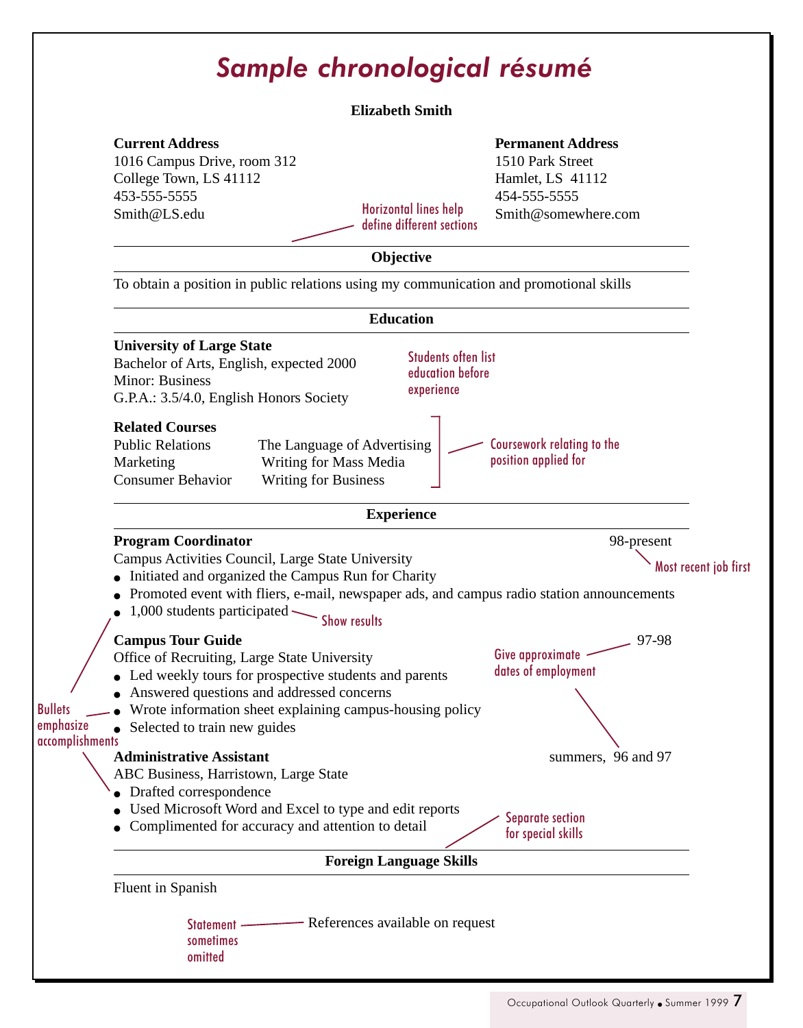# *Sample chronological résumé*

#### **Elizabeth Smith**

## **Current Address**

1016 Campus Drive, room 312 College Town, LS 41112 453-555-5555 Smith@LS.edu Horizontal lines help

define different sections

#### **Permanent Address**

1510 Park Street Hamlet, LS 41112 454-555-5555 Smith@somewhere.com

### **Objective**

To obtain a position in public relations using my communication and promotional skills

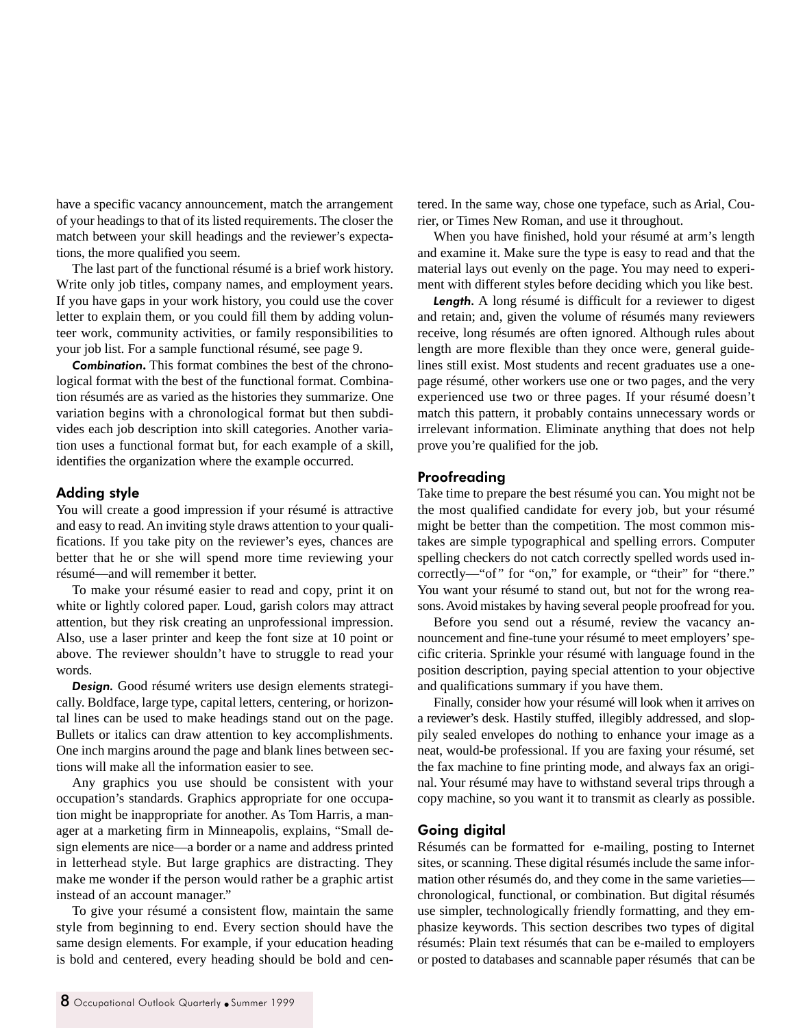have a specific vacancy announcement, match the arrangement of your headings to that of its listed requirements. The closer the match between your skill headings and the reviewer's expectations, the more qualified you seem.

The last part of the functional résumé is a brief work history. Write only job titles, company names, and employment years. If you have gaps in your work history, you could use the cover letter to explain them, or you could fill them by adding volunteer work, community activities, or family responsibilities to your job list. For a sample functional résumé, see page 9.

*Combination***.** This format combines the best of the chronological format with the best of the functional format. Combination résumés are as varied as the histories they summarize. One variation begins with a chronological format but then subdivides each job description into skill categories. Another variation uses a functional format but, for each example of a skill, identifies the organization where the example occurred.

#### Adding style

You will create a good impression if your résumé is attractive and easy to read. An inviting style draws attention to your qualifications. If you take pity on the reviewer's eyes, chances are better that he or she will spend more time reviewing your résumé—and will remember it better.

To make your résumé easier to read and copy, print it on white or lightly colored paper. Loud, garish colors may attract attention, but they risk creating an unprofessional impression. Also, use a laser printer and keep the font size at 10 point or above. The reviewer shouldn't have to struggle to read your words.

*Design.* Good résumé writers use design elements strategically. Boldface, large type, capital letters, centering, or horizontal lines can be used to make headings stand out on the page. Bullets or italics can draw attention to key accomplishments. One inch margins around the page and blank lines between sections will make all the information easier to see.

Any graphics you use should be consistent with your occupation's standards. Graphics appropriate for one occupation might be inappropriate for another. As Tom Harris, a manager at a marketing firm in Minneapolis, explains, "Small design elements are nice—a border or a name and address printed in letterhead style. But large graphics are distracting. They make me wonder if the person would rather be a graphic artist instead of an account manager."

To give your résumé a consistent flow, maintain the same style from beginning to end. Every section should have the same design elements. For example, if your education heading is bold and centered, every heading should be bold and centered. In the same way, chose one typeface, such as Arial, Courier, or Times New Roman, and use it throughout.

When you have finished, hold your résumé at arm's length and examine it. Make sure the type is easy to read and that the material lays out evenly on the page. You may need to experiment with different styles before deciding which you like best.

*Length.* A long résumé is difficult for a reviewer to digest and retain; and, given the volume of résumés many reviewers receive, long résumés are often ignored. Although rules about length are more flexible than they once were, general guidelines still exist. Most students and recent graduates use a onepage résumé, other workers use one or two pages, and the very experienced use two or three pages. If your résumé doesn't match this pattern, it probably contains unnecessary words or irrelevant information. Eliminate anything that does not help prove you're qualified for the job.

#### **Proofreading**

Take time to prepare the best résumé you can. You might not be the most qualified candidate for every job, but your résumé might be better than the competition. The most common mistakes are simple typographical and spelling errors. Computer spelling checkers do not catch correctly spelled words used incorrectly—"of" for "on," for example, or "their" for "there." You want your résumé to stand out, but not for the wrong reasons. Avoid mistakes by having several people proofread for you.

Before you send out a résumé, review the vacancy announcement and fine-tune your résumé to meet employers' specific criteria. Sprinkle your résumé with language found in the position description, paying special attention to your objective and qualifications summary if you have them.

Finally, consider how your résumé will look when it arrives on a reviewer's desk. Hastily stuffed, illegibly addressed, and sloppily sealed envelopes do nothing to enhance your image as a neat, would-be professional. If you are faxing your résumé, set the fax machine to fine printing mode, and always fax an original. Your résumé may have to withstand several trips through a copy machine, so you want it to transmit as clearly as possible.

#### Going digital

Résumés can be formatted for e-mailing, posting to Internet sites, or scanning. These digital résumés include the same information other résumés do, and they come in the same varieties chronological, functional, or combination. But digital résumés use simpler, technologically friendly formatting, and they emphasize keywords. This section describes two types of digital résumés: Plain text résumés that can be e-mailed to employers or posted to databases and scannable paper résumés that can be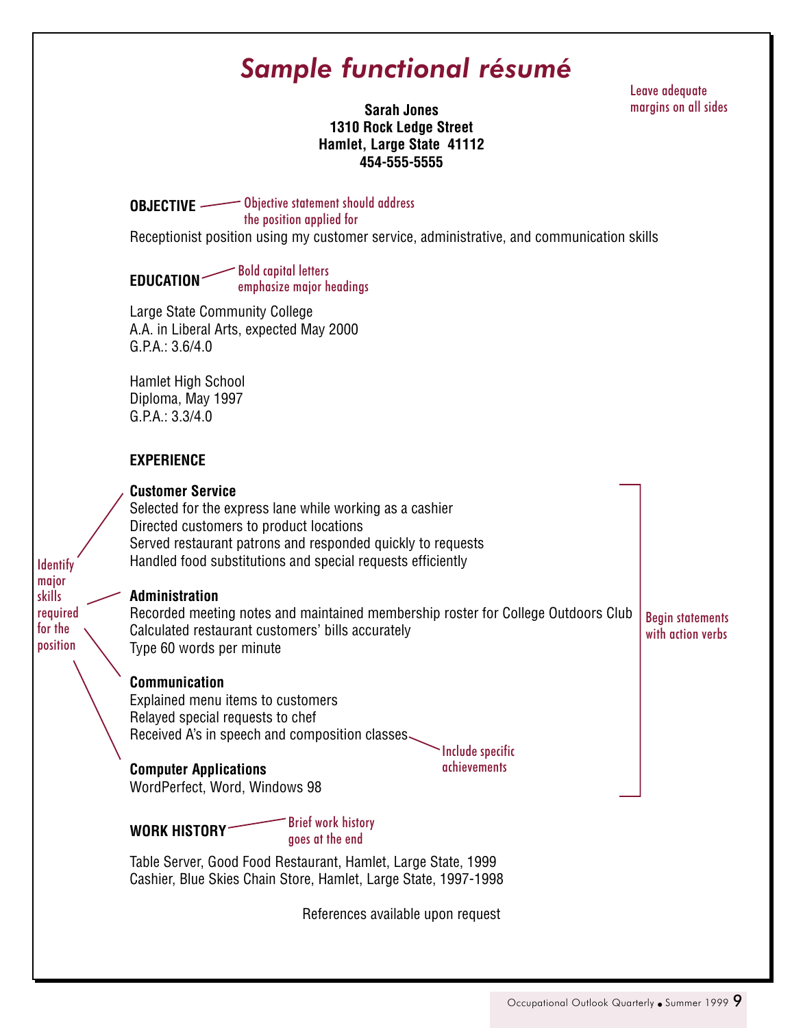## *Sample functional résumé*

Leave adequate margins on all sides

**Sarah Jones 1310 Rock Ledge Street Hamlet, Large State 41112 454-555-5555**

**OBJECTIVE** Objective statement should address the position applied for

Receptionist position using my customer service, administrative, and communication skills

**EDUCATION** Bold capital letters emphasize major headings

Large State Community College A.A. in Liberal Arts, expected May 2000 G.P.A.: 3.6/4.0

Hamlet High School Diploma, May 1997 G.P.A.: 3.3/4.0

## **EXPERIENCE**

**Identify** major skills required for the position

| <b>Customer Service</b><br>Selected for the express lane while working as a cashier<br>Directed customers to product locations<br>Served restaurant patrons and responded quickly to requests<br>Handled food substitutions and special requests efficiently |                                              |
|--------------------------------------------------------------------------------------------------------------------------------------------------------------------------------------------------------------------------------------------------------------|----------------------------------------------|
| Administration<br>Recorded meeting notes and maintained membership roster for College Outdoors Club<br>Calculated restaurant customers' bills accurately<br>Type 60 words per minute                                                                         | <b>Begin statements</b><br>with action verbs |
| <b>Communication</b><br>Explained menu items to customers<br>Relayed special requests to chef<br>Received A's in speech and composition classes.<br>Include specific<br><i>achievements</i><br><b>Computer Applications</b>                                  |                                              |
| WordPerfect, Word, Windows 98<br><b>Brief work history</b><br><b>WORK HISTORY</b><br>goes at the end<br>Table Server, Good Food Restaurant, Hamlet, Large State, 1999<br>Cashier, Blue Skies Chain Store, Hamlet, Large State, 1997-1998                     |                                              |

References available upon request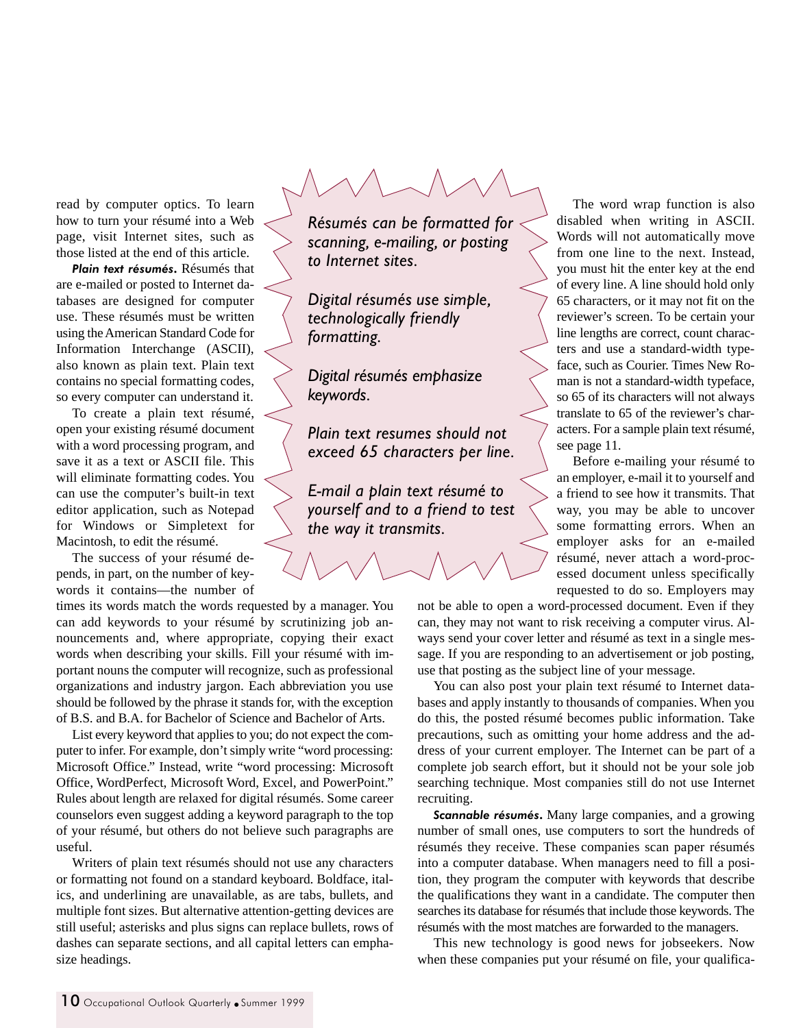read by computer optics. To learn how to turn your résumé into a Web page, visit Internet sites, such as those listed at the end of this article.

*Plain text résumés***.** Résumés that are e-mailed or posted to Internet databases are designed for computer use. These résumés must be written using the American Standard Code for Information Interchange (ASCII), also known as plain text. Plain text contains no special formatting codes, so every computer can understand it.

To create a plain text résumé, open your existing résumé document with a word processing program, and save it as a text or ASCII file. This will eliminate formatting codes. You can use the computer's built-in text editor application, such as Notepad for Windows or Simpletext for Macintosh, to edit the résumé.

The success of your résumé depends, in part, on the number of keywords it contains—the number of

times its words match the words requested by a manager. You can add keywords to your résumé by scrutinizing job announcements and, where appropriate, copying their exact words when describing your skills. Fill your résumé with important nouns the computer will recognize, such as professional organizations and industry jargon. Each abbreviation you use should be followed by the phrase it stands for, with the exception of B.S. and B.A. for Bachelor of Science and Bachelor of Arts.

List every keyword that applies to you; do not expect the computer to infer. For example, don't simply write "word processing: Microsoft Office." Instead, write "word processing: Microsoft Office, WordPerfect, Microsoft Word, Excel, and PowerPoint." Rules about length are relaxed for digital résumés. Some career counselors even suggest adding a keyword paragraph to the top of your résumé, but others do not believe such paragraphs are useful.

Writers of plain text résumés should not use any characters or formatting not found on a standard keyboard. Boldface, italics, and underlining are unavailable, as are tabs, bullets, and multiple font sizes. But alternative attention-getting devices are still useful; asterisks and plus signs can replace bullets, rows of dashes can separate sections, and all capital letters can emphasize headings.

*Résumés can be formatted for scanning, e-mailing, or posting to Internet sites.*

*Digital résumés use simple, technologically friendly formatting.*

*Digital résumés emphasize keywords.*

*Plain text resumes should not exceed 65 characters per line.*

*E-mail a plain text résumé to yourself and to a friend to test the way it transmits.*

The word wrap function is also disabled when writing in ASCII. Words will not automatically move from one line to the next. Instead, you must hit the enter key at the end of every line. A line should hold only 65 characters, or it may not fit on the reviewer's screen. To be certain your line lengths are correct, count characters and use a standard-width typeface, such as Courier. Times New Roman is not a standard-width typeface, so 65 of its characters will not always translate to 65 of the reviewer's characters. For a sample plain text résumé, see page 11.

Before e-mailing your résumé to an employer, e-mail it to yourself and a friend to see how it transmits. That way, you may be able to uncover some formatting errors. When an employer asks for an e-mailed résumé, never attach a word-processed document unless specifically requested to do so. Employers may

not be able to open a word-processed document. Even if they can, they may not want to risk receiving a computer virus. Always send your cover letter and résumé as text in a single message. If you are responding to an advertisement or job posting, use that posting as the subject line of your message.

You can also post your plain text résumé to Internet databases and apply instantly to thousands of companies. When you do this, the posted résumé becomes public information. Take precautions, such as omitting your home address and the address of your current employer. The Internet can be part of a complete job search effort, but it should not be your sole job searching technique. Most companies still do not use Internet recruiting.

*Scannable résumés***.** Many large companies, and a growing number of small ones, use computers to sort the hundreds of résumés they receive. These companies scan paper résumés into a computer database. When managers need to fill a position, they program the computer with keywords that describe the qualifications they want in a candidate. The computer then searches its database for résumés that include those keywords. The résumés with the most matches are forwarded to the managers.

This new technology is good news for jobseekers. Now when these companies put your résumé on file, your qualifica-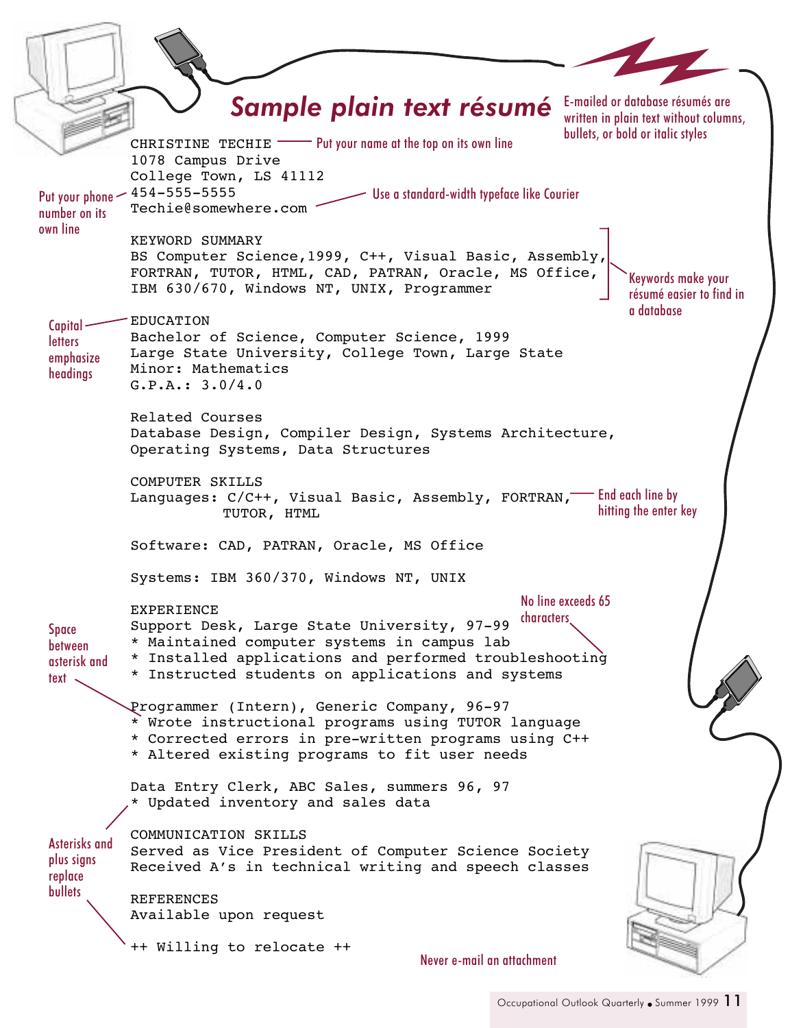CHRISTINE TECHIE **THE TECH COM** Put your name at the top on its own line 1078 Campus Drive College Town, LS 41112 454-555-5555 Techie@somewhere.com KEYWORD SUMMARY BS Computer Science,1999, C++, Visual Basic, Assembly, FORTRAN, TUTOR, HTML, CAD, PATRAN, Oracle, MS Office, IBM 630/670, Windows NT, UNIX, Programmer EDUCATION Bachelor of Science, Computer Science, 1999 Large State University, College Town, Large State Minor: Mathematics G.P.A.: 3.0/4.0 Related Courses Database Design, Compiler Design, Systems Architecture, Operating Systems, Data Structures COMPUTER SKILLS Languages: C/C++, Visual Basic, Assembly, FORTRAN,—— End each line by TUTOR, HTML Software: CAD, PATRAN, Oracle, MS Office Systems: IBM 360/370, Windows NT, UNIX EXPERIENCE Support Desk, Large State University, 97-99 \* Maintained computer systems in campus lab \* Installed applications and performed troubleshooting \* Instructed students on applications and systems Programmer (Intern), Generic Company, 96-97 \* Wrote instructional programs using TUTOR language \* Corrected errors in pre-written programs using C++ \* Altered existing programs to fit user needs Data Entry Clerk, ABC Sales, summers 96, 97 \* Updated inventory and sales data COMMUNICATION SKILLS Served as Vice President of Computer Science Society Received A's in technical writing and speech classes REFERENCES Available upon request ++ Willing to relocate ++ Put your phone number on its own line Use a standard-width typeface like Courier Keywords make your résumé easier to find in a database Capital**letters** emphasize headings Space between asterisk and text  $\sim$ Asterisks and plus signs replace **bullets** Never e-mail an attachment hitting the enter key No line exceeds 65 characters Sample plain text résumé E-mailed or database résumés are written in plain text without columns. bullets, or bold or italic styles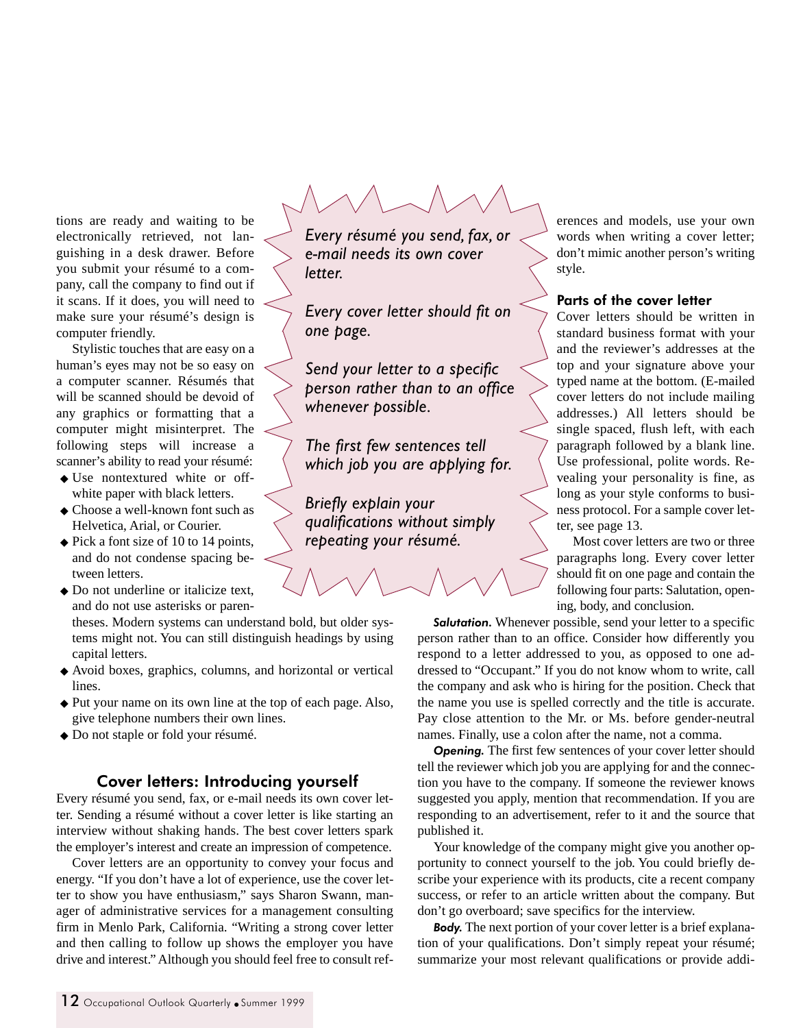tions are ready and waiting to be electronically retrieved, not languishing in a desk drawer. Before you submit your résumé to a company, call the company to find out if it scans. If it does, you will need to make sure your résumé's design is computer friendly.

Stylistic touches that are easy on a human's eyes may not be so easy on a computer scanner. Résumés that will be scanned should be devoid of any graphics or formatting that a computer might misinterpret. The following steps will increase a scanner's ability to read your résumé:

- ◆ Use nontextured white or offwhite paper with black letters.
- ◆ Choose a well-known font such as Helvetica, Arial, or Courier.
- ◆ Pick a font size of 10 to 14 points, and do not condense spacing between letters.
- ◆ Do not underline or italicize text, and do not use asterisks or paren-

theses. Modern systems can understand bold, but older systems might not. You can still distinguish headings by using capital letters.

- ◆ Avoid boxes, graphics, columns, and horizontal or vertical lines.
- ◆ Put your name on its own line at the top of each page. Also, give telephone numbers their own lines.
- ◆ Do not staple or fold your résumé.

### Cover letters: Introducing yourself

Every résumé you send, fax, or e-mail needs its own cover letter. Sending a résumé without a cover letter is like starting an interview without shaking hands. The best cover letters spark the employer's interest and create an impression of competence.

Cover letters are an opportunity to convey your focus and energy. "If you don't have a lot of experience, use the cover letter to show you have enthusiasm," says Sharon Swann, manager of administrative services for a management consulting firm in Menlo Park, California. "Writing a strong cover letter and then calling to follow up shows the employer you have drive and interest." Although you should feel free to consult ref-

*Every résumé you send, fax, or e-mail needs its own cover letter.*

*Every cover letter should fit on one page.*

*Send your letter to a specific person rather than to an office whenever possible.*

*The first few sentences tell which job you are applying for.*

*Briefly explain your qualifications without simply repeating your résumé.*

erences and models, use your own words when writing a cover letter; don't mimic another person's writing style.

#### Parts of the cover letter

Cover letters should be written in standard business format with your and the reviewer's addresses at the top and your signature above your typed name at the bottom. (E-mailed cover letters do not include mailing addresses.) All letters should be single spaced, flush left, with each paragraph followed by a blank line. Use professional, polite words. Revealing your personality is fine, as long as your style conforms to business protocol. For a sample cover letter, see page 13.

Most cover letters are two or three paragraphs long. Every cover letter should fit on one page and contain the following four parts: Salutation, opening, body, and conclusion.

*Salutation.* Whenever possible, send your letter to a specific person rather than to an office. Consider how differently you respond to a letter addressed to you, as opposed to one addressed to "Occupant." If you do not know whom to write, call the company and ask who is hiring for the position. Check that the name you use is spelled correctly and the title is accurate. Pay close attention to the Mr. or Ms. before gender-neutral names. Finally, use a colon after the name, not a comma.

**Opening.** The first few sentences of your cover letter should tell the reviewer which job you are applying for and the connection you have to the company. If someone the reviewer knows suggested you apply, mention that recommendation. If you are responding to an advertisement, refer to it and the source that published it.

Your knowledge of the company might give you another opportunity to connect yourself to the job. You could briefly describe your experience with its products, cite a recent company success, or refer to an article written about the company. But don't go overboard; save specifics for the interview.

*Body.* The next portion of your cover letter is a brief explanation of your qualifications. Don't simply repeat your résumé; summarize your most relevant qualifications or provide addi-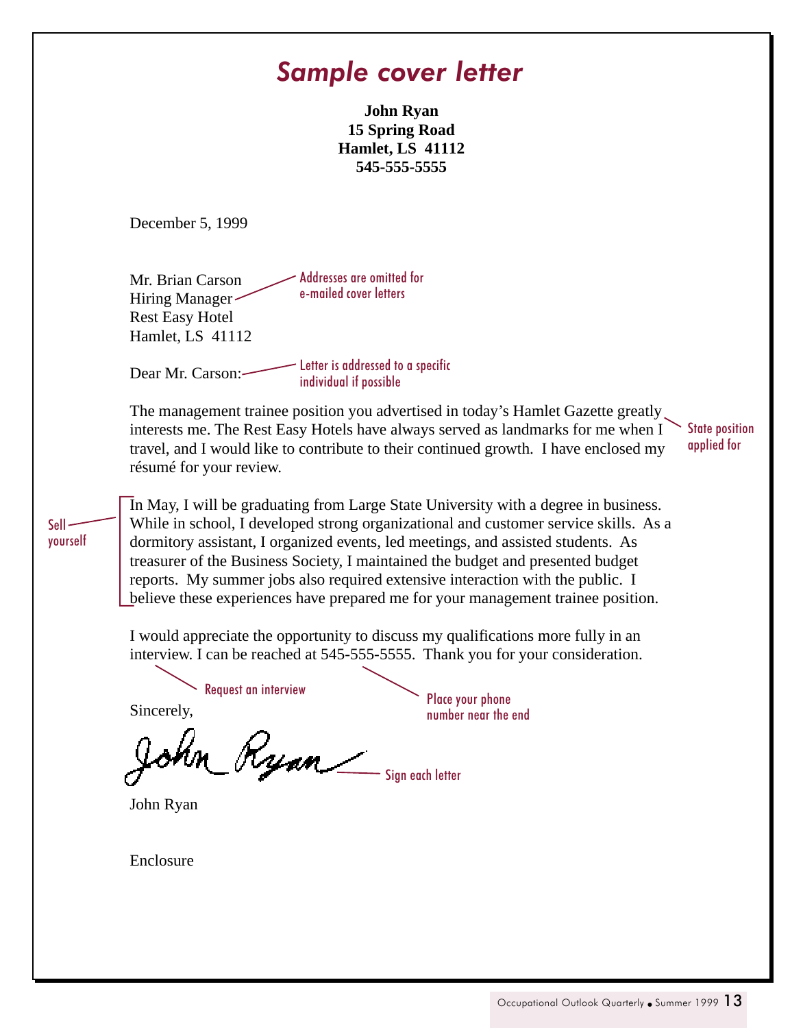## *Sample cover letter*

**John Ryan 15 Spring Road Hamlet, LS 41112 545-555-5555**

December 5, 1999

Mr. Brian Carson Hiring Manager Rest Easy Hotel Hamlet, LS 41112 Addresses are omitted for e-mailed cover letters

Dear Mr. Carson: Letter is addressed to a specific individual if possible

The management trainee position you advertised in today's Hamlet Gazette greatly interests me. The Rest Easy Hotels have always served as landmarks for me when I travel, and I would like to contribute to their continued growth. I have enclosed my résumé for your review.

In May, I will be graduating from Large State University with a degree in business. While in school, I developed strong organizational and customer service skills. As a dormitory assistant, I organized events, led meetings, and assisted students. As treasurer of the Business Society, I maintained the budget and presented budget reports. My summer jobs also required extensive interaction with the public. I believe these experiences have prepared me for your management trainee position.

I would appreciate the opportunity to discuss my qualifications more fully in an interview. I can be reached at 545-555-5555. Thank you for your consideration.

Request an interview Place your phone

Sincerely,

Sell yourself

ohn Ryan Sign each letter

John Ryan

number near the end

Enclosure

State position applied for